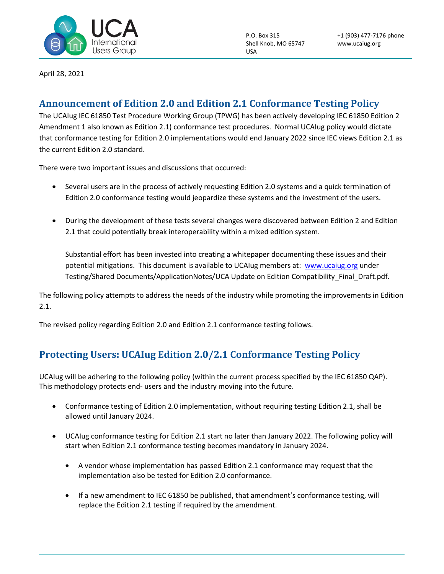

P.O. Box 315 Shell Knob, MO 65747 USA

April 28, 2021

## **Announcement of Edition 2.0 and Edition 2.1 Conformance Testing Policy**

The UCAIug IEC 61850 Test Procedure Working Group (TPWG) has been actively developing IEC 61850 Edition 2 Amendment 1 also known as Edition 2.1) conformance test procedures. Normal UCAIug policy would dictate that conformance testing for Edition 2.0 implementations would end January 2022 since IEC views Edition 2.1 as the current Edition 2.0 standard.

There were two important issues and discussions that occurred:

- Several users are in the process of actively requesting Edition 2.0 systems and a quick termination of Edition 2.0 conformance testing would jeopardize these systems and the investment of the users.
- During the development of these tests several changes were discovered between Edition 2 and Edition 2.1 that could potentially break interoperability within a mixed edition system.

Substantial effort has been invested into creating a whitepaper documenting these issues and their potential mitigations. This document is available to UCAIug members at: [www.ucaiug.org](http://www.ucaiug.org/) under Testing/Shared Documents/ApplicationNotes/UCA Update on Edition Compatibility\_Final\_Draft.pdf.

The following policy attempts to address the needs of the industry while promoting the improvements in Edition 2.1.

The revised policy regarding Edition 2.0 and Edition 2.1 conformance testing follows.

## **Protecting Users: UCAIug Edition 2.0/2.1 Conformance Testing Policy**

UCAIug will be adhering to the following policy (within the current process specified by the IEC 61850 QAP). This methodology protects end- users and the industry moving into the future.

- Conformance testing of Edition 2.0 implementation, without requiring testing Edition 2.1, shall be allowed until January 2024.
- UCAIug conformance testing for Edition 2.1 start no later than January 2022. The following policy will start when Edition 2.1 conformance testing becomes mandatory in January 2024.
	- A vendor whose implementation has passed Edition 2.1 conformance may request that the implementation also be tested for Edition 2.0 conformance.
	- If a new amendment to IEC 61850 be published, that amendment's conformance testing, will replace the Edition 2.1 testing if required by the amendment.